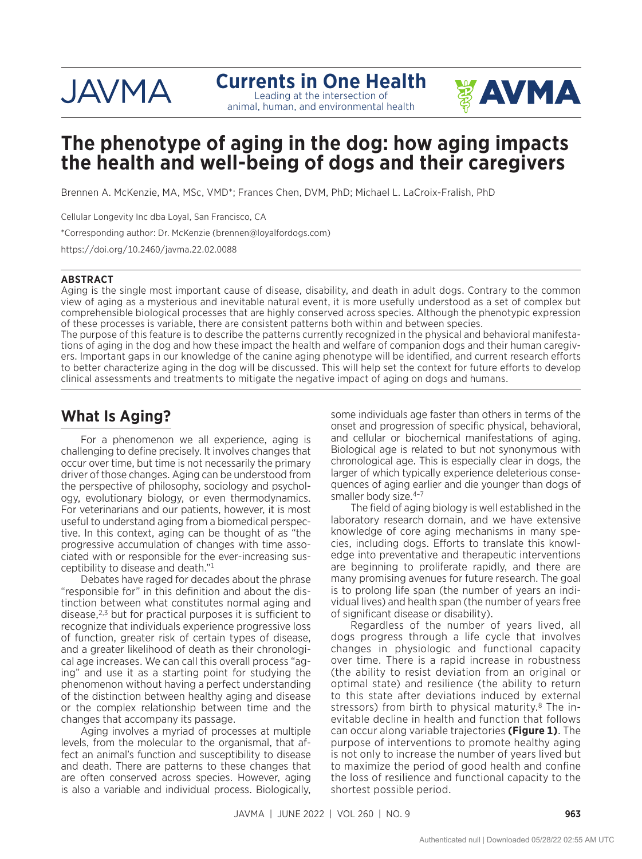# **JAVMA**

#### **Currents in One Health**  Leading at the intersection of

animal, human, and environmental health



## **The phenotype of aging in the dog: how aging impacts the health and well-being of dogs and their caregivers**

Brennen A. McKenzie, MA, MSc, VMD\*; Frances Chen, DVM, PhD; Michael L. LaCroix-Fralish, PhD

Cellular Longevity Inc dba Loyal, San Francisco, CA

\*Corresponding author: Dr. McKenzie ([brennen@loyalfordogs.com](mailto:brennen@loyalfordogs.com))

<https://doi.org/10.2460/javma.22.02.0088>

#### **ABSTRACT**

Aging is the single most important cause of disease, disability, and death in adult dogs. Contrary to the common view of aging as a mysterious and inevitable natural event, it is more usefully understood as a set of complex but comprehensible biological processes that are highly conserved across species. Although the phenotypic expression of these processes is variable, there are consistent patterns both within and between species.

The purpose of this feature is to describe the patterns currently recognized in the physical and behavioral manifestations of aging in the dog and how these impact the health and welfare of companion dogs and their human caregivers. Important gaps in our knowledge of the canine aging phenotype will be identified, and current research efforts to better characterize aging in the dog will be discussed. This will help set the context for future efforts to develop clinical assessments and treatments to mitigate the negative impact of aging on dogs and humans.

### **What Is Aging?**

For a phenomenon we all experience, aging is challenging to define precisely. It involves changes that occur over time, but time is not necessarily the primary driver of those changes. Aging can be understood from the perspective of philosophy, sociology and psychology, evolutionary biology, or even thermodynamics. For veterinarians and our patients, however, it is most useful to understand aging from a biomedical perspective. In this context, aging can be thought of as "the progressive accumulation of changes with time associated with or responsible for the ever-increasing susceptibility to disease and death."<sup>1</sup>

Debates have raged for decades about the phrase "responsible for" in this definition and about the distinction between what constitutes normal aging and disease, $2,3$  but for practical purposes it is sufficient to recognize that individuals experience progressive loss of function, greater risk of certain types of disease, and a greater likelihood of death as their chronological age increases. We can call this overall process "aging" and use it as a starting point for studying the phenomenon without having a perfect understanding of the distinction between healthy aging and disease or the complex relationship between time and the changes that accompany its passage.

Aging involves a myriad of processes at multiple levels, from the molecular to the organismal, that affect an animal's function and susceptibility to disease and death. There are patterns to these changes that are often conserved across species. However, aging is also a variable and individual process. Biologically, some individuals age faster than others in terms of the onset and progression of specific physical, behavioral, and cellular or biochemical manifestations of aging. Biological age is related to but not synonymous with chronological age. This is especially clear in dogs, the larger of which typically experience deleterious consequences of aging earlier and die younger than dogs of smaller body size.<sup>4-7</sup>

The field of aging biology is well established in the laboratory research domain, and we have extensive knowledge of core aging mechanisms in many species, including dogs. Efforts to translate this knowledge into preventative and therapeutic interventions are beginning to proliferate rapidly, and there are many promising avenues for future research. The goal is to prolong life span (the number of years an individual lives) and health span (the number of years free of significant disease or disability).

Regardless of the number of years lived, all dogs progress through a life cycle that involves changes in physiologic and functional capacity over time. There is a rapid increase in robustness (the ability to resist deviation from an original or optimal state) and resilience (the ability to return to this state after deviations induced by external stressors) from birth to physical maturity. $8$  The inevitable decline in health and function that follows can occur along variable trajectories **(Figure 1)**. The purpose of interventions to promote healthy aging is not only to increase the number of years lived but to maximize the period of good health and confine the loss of resilience and functional capacity to the shortest possible period.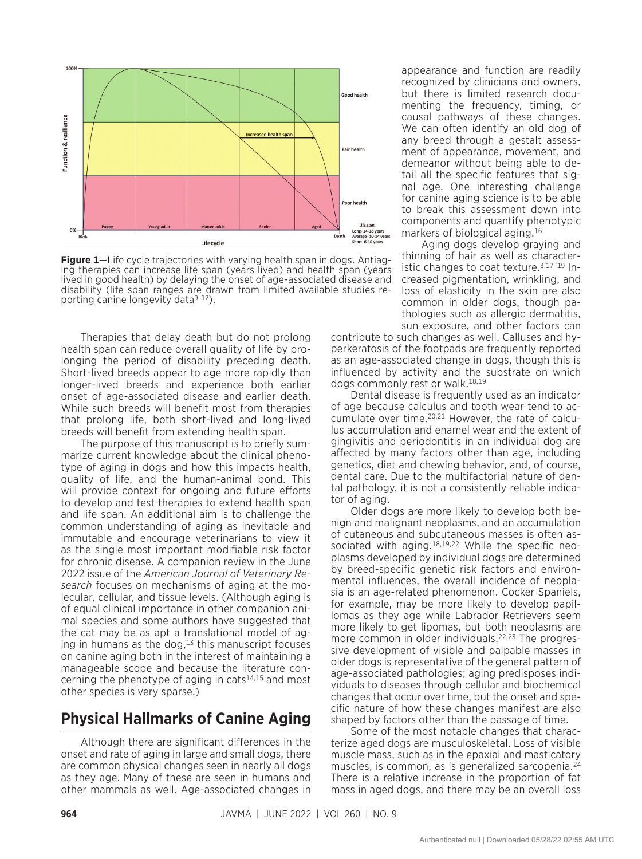

**Figure 1**—Life cycle trajectories with varying health span in dogs. Antiaging therapies can increase life span (years lived) and health span (years lived in good health) by delaying the onset of age-associated disease and disability (life span ranges are drawn from limited available studies reporting canine longevity data<sup>9-12</sup>).

Therapies that delay death but do not prolong health span can reduce overall quality of life by prolonging the period of disability preceding death. Short-lived breeds appear to age more rapidly than longer-lived breeds and experience both earlier onset of age-associated disease and earlier death. While such breeds will benefit most from therapies that prolong life, both short-lived and long-lived breeds will benefit from extending health span.

The purpose of this manuscript is to briefly summarize current knowledge about the clinical phenotype of aging in dogs and how this impacts health, quality of life, and the human-animal bond. This will provide context for ongoing and future efforts to develop and test therapies to extend health span and life span. An additional aim is to challenge the common understanding of aging as inevitable and immutable and encourage veterinarians to view it as the single most important modifiable risk factor for chronic disease. A companion review in the June 2022 issue of the *American Journal of Veterinary Research* focuses on mechanisms of aging at the molecular, cellular, and tissue levels. (Although aging is of equal clinical importance in other companion animal species and some authors have suggested that the cat may be as apt a translational model of aging in humans as the dog, $13$  this manuscript focuses on canine aging both in the interest of maintaining a manageable scope and because the literature concerning the phenotype of aging in cats<sup>14,15</sup> and most other species is very sparse.)

#### **Physical Hallmarks of Canine Aging**

Although there are significant differences in the onset and rate of aging in large and small dogs, there are common physical changes seen in nearly all dogs as they age. Many of these are seen in humans and other mammals as well. Age-associated changes in appearance and function are readily recognized by clinicians and owners, but there is limited research documenting the frequency, timing, or causal pathways of these changes. We can often identify an old dog of any breed through a gestalt assessment of appearance, movement, and demeanor without being able to detail all the specific features that signal age. One interesting challenge for canine aging science is to be able to break this assessment down into components and quantify phenotypic markers of biological aging.<sup>16</sup>

Aging dogs develop graying and thinning of hair as well as characteristic changes to coat texture.3,17–19 Increased pigmentation, wrinkling, and loss of elasticity in the skin are also common in older dogs, though pathologies such as allergic dermatitis, sun exposure, and other factors can

contribute to such changes as well. Calluses and hyperkeratosis of the footpads are frequently reported as an age-associated change in dogs, though this is influenced by activity and the substrate on which dogs commonly rest or walk.18,19

Dental disease is frequently used as an indicator of age because calculus and tooth wear tend to accumulate over time.20,21 However, the rate of calculus accumulation and enamel wear and the extent of gingivitis and periodontitis in an individual dog are affected by many factors other than age, including genetics, diet and chewing behavior, and, of course, dental care. Due to the multifactorial nature of dental pathology, it is not a consistently reliable indicator of aging.

Older dogs are more likely to develop both benign and malignant neoplasms, and an accumulation of cutaneous and subcutaneous masses is often associated with aging.<sup>18,19,22</sup> While the specific neoplasms developed by individual dogs are determined by breed-specific genetic risk factors and environmental influences, the overall incidence of neoplasia is an age-related phenomenon. Cocker Spaniels, for example, may be more likely to develop papillomas as they age while Labrador Retrievers seem more likely to get lipomas, but both neoplasms are more common in older individuals.<sup>22,23</sup> The progressive development of visible and palpable masses in older dogs is representative of the general pattern of age-associated pathologies; aging predisposes individuals to diseases through cellular and biochemical changes that occur over time, but the onset and specific nature of how these changes manifest are also shaped by factors other than the passage of time.

Some of the most notable changes that characterize aged dogs are musculoskeletal. Loss of visible muscle mass, such as in the epaxial and masticatory muscles, is common, as is generalized sarcopenia.<sup>24</sup> There is a relative increase in the proportion of fat mass in aged dogs, and there may be an overall loss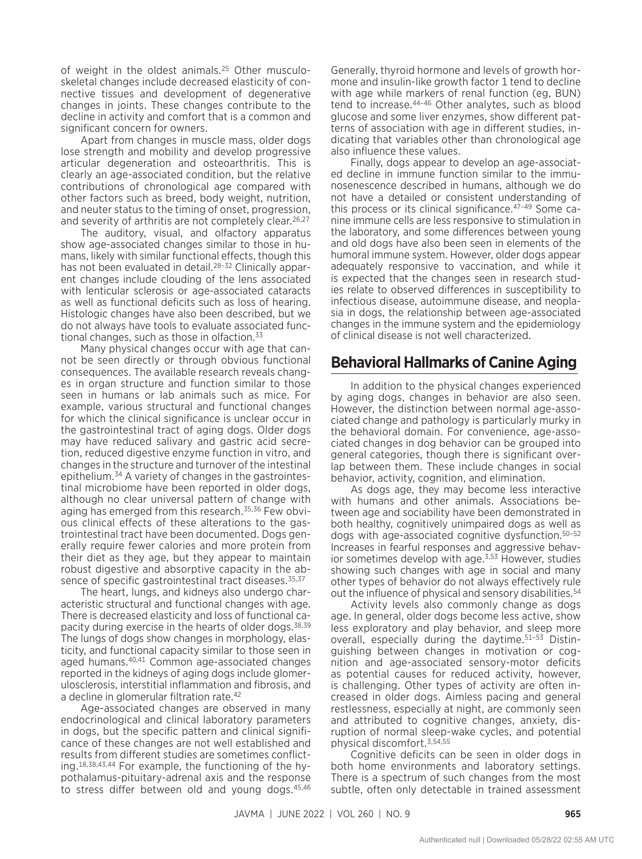of weight in the oldest animals.25 Other musculoskeletal changes include decreased elasticity of connective tissues and development of degenerative changes in joints. These changes contribute to the decline in activity and comfort that is a common and significant concern for owners.

Apart from changes in muscle mass, older dogs lose strength and mobility and develop progressive articular degeneration and osteoarthritis. This is clearly an age-associated condition, but the relative contributions of chronological age compared with other factors such as breed, body weight, nutrition, and neuter status to the timing of onset, progression, and severity of arthritis are not completely clear.<sup>26,27</sup>

The auditory, visual, and olfactory apparatus show age-associated changes similar to those in humans, likely with similar functional effects, though this has not been evaluated in detail.<sup>28-32</sup> Clinically apparent changes include clouding of the lens associated with lenticular sclerosis or age-associated cataracts as well as functional deficits such as loss of hearing. Histologic changes have also been described, but we do not always have tools to evaluate associated functional changes, such as those in olfaction. $33$ 

Many physical changes occur with age that cannot be seen directly or through obvious functional consequences. The available research reveals changes in organ structure and function similar to those seen in humans or lab animals such as mice. For example, various structural and functional changes for which the clinical significance is unclear occur in the gastrointestinal tract of aging dogs. Older dogs may have reduced salivary and gastric acid secretion, reduced digestive enzyme function in vitro, and changes in the structure and turnover of the intestinal epithelium.34 A variety of changes in the gastrointestinal microbiome have been reported in older dogs, although no clear universal pattern of change with aging has emerged from this research.<sup>35,36</sup> Few obvious clinical effects of these alterations to the gastrointestinal tract have been documented. Dogs generally require fewer calories and more protein from their diet as they age, but they appear to maintain robust digestive and absorptive capacity in the absence of specific gastrointestinal tract diseases.<sup>35,37</sup>

The heart, lungs, and kidneys also undergo characteristic structural and functional changes with age. There is decreased elasticity and loss of functional capacity during exercise in the hearts of older dogs.38,39 The lungs of dogs show changes in morphology, elasticity, and functional capacity similar to those seen in aged humans.40,41 Common age-associated changes reported in the kidneys of aging dogs include glomerulosclerosis, interstitial inflammation and fibrosis, and a decline in glomerular filtration rate.42

Age-associated changes are observed in many endocrinological and clinical laboratory parameters in dogs, but the specific pattern and clinical significance of these changes are not well established and results from different studies are sometimes conflicting.18,38,43,44 For example, the functioning of the hypothalamus-pituitary-adrenal axis and the response to stress differ between old and young dogs.45,46 Generally, thyroid hormone and levels of growth hormone and insulin-like growth factor 1 tend to decline with age while markers of renal function (eg, BUN) tend to increase.44–46 Other analytes, such as blood glucose and some liver enzymes, show different patterns of association with age in different studies, indicating that variables other than chronological age also influence these values.

Finally, dogs appear to develop an age-associated decline in immune function similar to the immunosenescence described in humans, although we do not have a detailed or consistent understanding of this process or its clinical significance.47–49 Some canine immune cells are less responsive to stimulation in the laboratory, and some differences between young and old dogs have also been seen in elements of the humoral immune system. However, older dogs appear adequately responsive to vaccination, and while it is expected that the changes seen in research studies relate to observed differences in susceptibility to infectious disease, autoimmune disease, and neoplasia in dogs, the relationship between age-associated changes in the immune system and the epidemiology of clinical disease is not well characterized.

#### **Behavioral Hallmarks of Canine Aging**

In addition to the physical changes experienced by aging dogs, changes in behavior are also seen. However, the distinction between normal age-associated change and pathology is particularly murky in the behavioral domain. For convenience, age-associated changes in dog behavior can be grouped into general categories, though there is significant overlap between them. These include changes in social behavior, activity, cognition, and elimination.

As dogs age, they may become less interactive with humans and other animals. Associations between age and sociability have been demonstrated in both healthy, cognitively unimpaired dogs as well as dogs with age-associated cognitive dysfunction.50–52 Increases in fearful responses and aggressive behavior sometimes develop with age.<sup>3,53</sup> However, studies showing such changes with age in social and many other types of behavior do not always effectively rule out the influence of physical and sensory disabilities.54

Activity levels also commonly change as dogs age. In general, older dogs become less active, show less exploratory and play behavior, and sleep more overall, especially during the daytime.51–53 Distinguishing between changes in motivation or cognition and age-associated sensory-motor deficits as potential causes for reduced activity, however, is challenging. Other types of activity are often increased in older dogs. Aimless pacing and general restlessness, especially at night, are commonly seen and attributed to cognitive changes, anxiety, disruption of normal sleep-wake cycles, and potential physical discomfort.3,54,55

Cognitive deficits can be seen in older dogs in both home environments and laboratory settings. There is a spectrum of such changes from the most subtle, often only detectable in trained assessment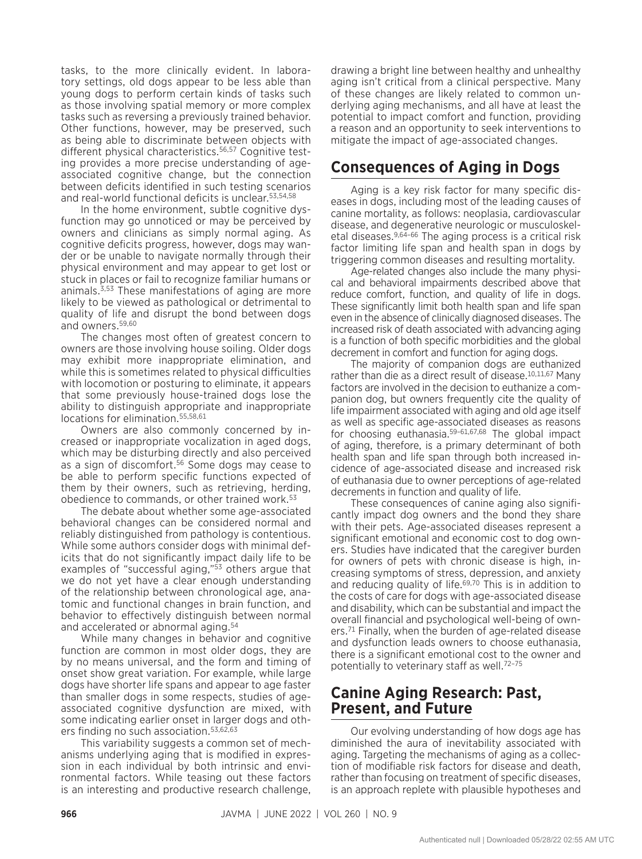tasks, to the more clinically evident. In laboratory settings, old dogs appear to be less able than young dogs to perform certain kinds of tasks such as those involving spatial memory or more complex tasks such as reversing a previously trained behavior. Other functions, however, may be preserved, such as being able to discriminate between objects with different physical characteristics.<sup>56,57</sup> Cognitive testing provides a more precise understanding of ageassociated cognitive change, but the connection between deficits identified in such testing scenarios and real-world functional deficits is unclear.53,54,58

In the home environment, subtle cognitive dysfunction may go unnoticed or may be perceived by owners and clinicians as simply normal aging. As cognitive deficits progress, however, dogs may wander or be unable to navigate normally through their physical environment and may appear to get lost or stuck in places or fail to recognize familiar humans or animals.3,53 These manifestations of aging are more likely to be viewed as pathological or detrimental to quality of life and disrupt the bond between dogs and owners.59,60

The changes most often of greatest concern to owners are those involving house soiling. Older dogs may exhibit more inappropriate elimination, and while this is sometimes related to physical difficulties with locomotion or posturing to eliminate, it appears that some previously house-trained dogs lose the ability to distinguish appropriate and inappropriate locations for elimination.55,58,61

Owners are also commonly concerned by increased or inappropriate vocalization in aged dogs, which may be disturbing directly and also perceived as a sign of discomfort.56 Some dogs may cease to be able to perform specific functions expected of them by their owners, such as retrieving, herding, obedience to commands, or other trained work.53

The debate about whether some age-associated behavioral changes can be considered normal and reliably distinguished from pathology is contentious. While some authors consider dogs with minimal deficits that do not significantly impact daily life to be examples of "successful aging,"53 others argue that we do not yet have a clear enough understanding of the relationship between chronological age, anatomic and functional changes in brain function, and behavior to effectively distinguish between normal and accelerated or abnormal aging.54

While many changes in behavior and cognitive function are common in most older dogs, they are by no means universal, and the form and timing of onset show great variation. For example, while large dogs have shorter life spans and appear to age faster than smaller dogs in some respects, studies of ageassociated cognitive dysfunction are mixed, with some indicating earlier onset in larger dogs and others finding no such association.<sup>53,62,63</sup>

This variability suggests a common set of mechanisms underlying aging that is modified in expression in each individual by both intrinsic and environmental factors. While teasing out these factors is an interesting and productive research challenge, drawing a bright line between healthy and unhealthy aging isn't critical from a clinical perspective. Many of these changes are likely related to common underlying aging mechanisms, and all have at least the potential to impact comfort and function, providing a reason and an opportunity to seek interventions to mitigate the impact of age-associated changes.

#### **Consequences of Aging in Dogs**

Aging is a key risk factor for many specific diseases in dogs, including most of the leading causes of canine mortality, as follows: neoplasia, cardiovascular disease, and degenerative neurologic or musculoskeletal diseases.<sup>9,64-66</sup> The aging process is a critical risk factor limiting life span and health span in dogs by triggering common diseases and resulting mortality.

Age-related changes also include the many physical and behavioral impairments described above that reduce comfort, function, and quality of life in dogs. These significantly limit both health span and life span even in the absence of clinically diagnosed diseases. The increased risk of death associated with advancing aging is a function of both specific morbidities and the global decrement in comfort and function for aging dogs.

The majority of companion dogs are euthanized rather than die as a direct result of disease.<sup>10,11,67</sup> Manv factors are involved in the decision to euthanize a companion dog, but owners frequently cite the quality of life impairment associated with aging and old age itself as well as specific age-associated diseases as reasons for choosing euthanasia.59–61,67,68 The global impact of aging, therefore, is a primary determinant of both health span and life span through both increased incidence of age-associated disease and increased risk of euthanasia due to owner perceptions of age-related decrements in function and quality of life.

These consequences of canine aging also significantly impact dog owners and the bond they share with their pets. Age-associated diseases represent a significant emotional and economic cost to dog owners. Studies have indicated that the caregiver burden for owners of pets with chronic disease is high, increasing symptoms of stress, depression, and anxiety and reducing quality of life.<sup>69,70</sup> This is in addition to the costs of care for dogs with age-associated disease and disability, which can be substantial and impact the overall financial and psychological well-being of owners.<sup>71</sup> Finally, when the burden of age-related disease and dysfunction leads owners to choose euthanasia, there is a significant emotional cost to the owner and potentially to veterinary staff as well.72–75

#### **Canine Aging Research: Past, Present, and Future**

Our evolving understanding of how dogs age has diminished the aura of inevitability associated with aging. Targeting the mechanisms of aging as a collection of modifiable risk factors for disease and death, rather than focusing on treatment of specific diseases, is an approach replete with plausible hypotheses and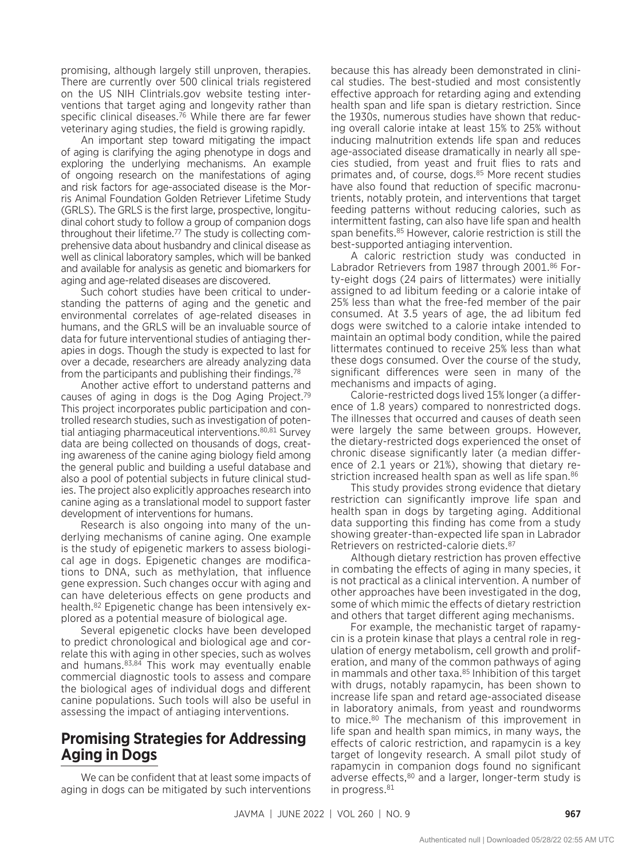promising, although largely still unproven, therapies. There are currently over 500 clinical trials registered on the US NIH Clintrials.gov website testing interventions that target aging and longevity rather than specific clinical diseases.76 While there are far fewer veterinary aging studies, the field is growing rapidly.

An important step toward mitigating the impact of aging is clarifying the aging phenotype in dogs and exploring the underlying mechanisms. An example of ongoing research on the manifestations of aging and risk factors for age-associated disease is the Morris Animal Foundation Golden Retriever Lifetime Study (GRLS). The GRLS is the first large, prospective, longitudinal cohort study to follow a group of companion dogs throughout their lifetime.77 The study is collecting comprehensive data about husbandry and clinical disease as well as clinical laboratory samples, which will be banked and available for analysis as genetic and biomarkers for aging and age-related diseases are discovered.

Such cohort studies have been critical to understanding the patterns of aging and the genetic and environmental correlates of age-related diseases in humans, and the GRLS will be an invaluable source of data for future interventional studies of antiaging therapies in dogs. Though the study is expected to last for over a decade, researchers are already analyzing data from the participants and publishing their findings.<sup>78</sup>

Another active effort to understand patterns and causes of aging in dogs is the Dog Aging Project.79 This project incorporates public participation and controlled research studies, such as investigation of potential antiaging pharmaceutical interventions.80,81 Survey data are being collected on thousands of dogs, creating awareness of the canine aging biology field among the general public and building a useful database and also a pool of potential subjects in future clinical studies. The project also explicitly approaches research into canine aging as a translational model to support faster development of interventions for humans.

Research is also ongoing into many of the underlying mechanisms of canine aging. One example is the study of epigenetic markers to assess biological age in dogs. Epigenetic changes are modifications to DNA, such as methylation, that influence gene expression. Such changes occur with aging and can have deleterious effects on gene products and health.82 Epigenetic change has been intensively explored as a potential measure of biological age.

Several epigenetic clocks have been developed to predict chronological and biological age and correlate this with aging in other species, such as wolves and humans.83,84 This work may eventually enable commercial diagnostic tools to assess and compare the biological ages of individual dogs and different canine populations. Such tools will also be useful in assessing the impact of antiaging interventions.

#### **Promising Strategies for Addressing Aging in Dogs**

We can be confident that at least some impacts of aging in dogs can be mitigated by such interventions because this has already been demonstrated in clinical studies. The best-studied and most consistently effective approach for retarding aging and extending health span and life span is dietary restriction. Since the 1930s, numerous studies have shown that reducing overall calorie intake at least 15% to 25% without inducing malnutrition extends life span and reduces age-associated disease dramatically in nearly all species studied, from yeast and fruit flies to rats and primates and, of course, dogs.<sup>85</sup> More recent studies have also found that reduction of specific macronutrients, notably protein, and interventions that target feeding patterns without reducing calories, such as intermittent fasting, can also have life span and health span benefits.<sup>85</sup> However, calorie restriction is still the best-supported antiaging intervention.

A caloric restriction study was conducted in Labrador Retrievers from 1987 through 2001.86 Forty-eight dogs (24 pairs of littermates) were initially assigned to ad libitum feeding or a calorie intake of 25% less than what the free-fed member of the pair consumed. At 3.5 years of age, the ad libitum fed dogs were switched to a calorie intake intended to maintain an optimal body condition, while the paired littermates continued to receive 25% less than what these dogs consumed. Over the course of the study, significant differences were seen in many of the mechanisms and impacts of aging.

Calorie-restricted dogs lived 15% longer (a difference of 1.8 years) compared to nonrestricted dogs. The illnesses that occurred and causes of death seen were largely the same between groups. However, the dietary-restricted dogs experienced the onset of chronic disease significantly later (a median difference of 2.1 years or 21%), showing that dietary restriction increased health span as well as life span.<sup>86</sup>

This study provides strong evidence that dietary restriction can significantly improve life span and health span in dogs by targeting aging. Additional data supporting this finding has come from a study showing greater-than-expected life span in Labrador Retrievers on restricted-calorie diets.87

Although dietary restriction has proven effective in combating the effects of aging in many species, it is not practical as a clinical intervention. A number of other approaches have been investigated in the dog, some of which mimic the effects of dietary restriction and others that target different aging mechanisms.

For example, the mechanistic target of rapamycin is a protein kinase that plays a central role in regulation of energy metabolism, cell growth and proliferation, and many of the common pathways of aging in mammals and other taxa.<sup>85</sup> Inhibition of this target with drugs, notably rapamycin, has been shown to increase life span and retard age-associated disease in laboratory animals, from yeast and roundworms to mice.80 The mechanism of this improvement in life span and health span mimics, in many ways, the effects of caloric restriction, and rapamycin is a key target of longevity research. A small pilot study of rapamycin in companion dogs found no significant adverse effects,<sup>80</sup> and a larger, longer-term study is in progress.<sup>81</sup>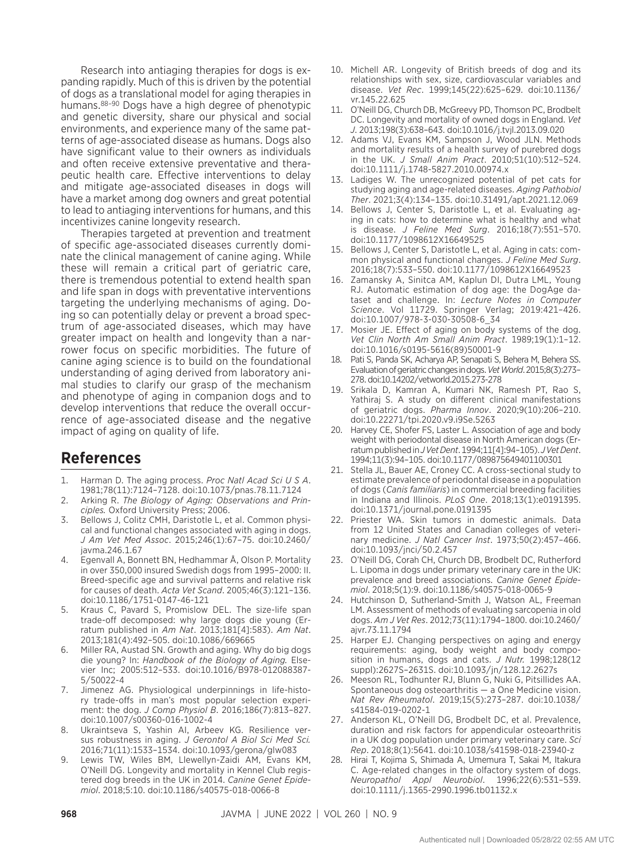Research into antiaging therapies for dogs is expanding rapidly. Much of this is driven by the potential of dogs as a translational model for aging therapies in humans.88–90 Dogs have a high degree of phenotypic and genetic diversity, share our physical and social environments, and experience many of the same patterns of age-associated disease as humans. Dogs also have significant value to their owners as individuals and often receive extensive preventative and therapeutic health care. Effective interventions to delay and mitigate age-associated diseases in dogs will have a market among dog owners and great potential to lead to antiaging interventions for humans, and this incentivizes canine longevity research.

Therapies targeted at prevention and treatment of specific age-associated diseases currently dominate the clinical management of canine aging. While these will remain a critical part of geriatric care, there is tremendous potential to extend health span and life span in dogs with preventative interventions targeting the underlying mechanisms of aging. Doing so can potentially delay or prevent a broad spectrum of age-associated diseases, which may have greater impact on health and longevity than a narrower focus on specific morbidities. The future of canine aging science is to build on the foundational understanding of aging derived from laboratory animal studies to clarify our grasp of the mechanism and phenotype of aging in companion dogs and to develop interventions that reduce the overall occurrence of age-associated disease and the negative impact of aging on quality of life.

#### **References**

- 1. Harman D. The aging process. *Proc Natl Acad Sci U S A*. 1981;78(11):7124–7128. doi:10.1073/pnas.78.11.7124
- 2. Arking R. *The Biology of Aging: Observations and Principles.* Oxford University Press; 2006.
- 3. Bellows J, Colitz CMH, Daristotle L, et al. Common physical and functional changes associated with aging in dogs. *J Am Vet Med Assoc*. 2015;246(1):67–75. doi:10.2460/ javma.246.1.67
- 4. Egenvall A, Bonnett BN, Hedhammar Å, Olson P. Mortality in over 350,000 insured Swedish dogs from 1995–2000: II. Breed-specific age and survival patterns and relative risk for causes of death. *Acta Vet Scand*. 2005;46(3):121–136. doi:10.1186/1751-0147-46-121
- 5. Kraus C, Pavard S, Promislow DEL. The size-life span trade-off decomposed: why large dogs die young (Erratum published in *Am Nat*. 2013;181[4]:583). *Am Nat*. 2013;181(4):492–505. doi:10.1086/669665
- 6. Miller RA, Austad SN. Growth and aging. Why do big dogs die young? In: *Handbook of the Biology of Aging.* Elsevier Inc; 2005:512–533. doi:10.1016/B978-012088387- 5/50022-4
- 7. Jimenez AG. Physiological underpinnings in life-history trade-offs in man's most popular selection experiment: the dog. *J Comp Physiol B*. 2016;186(7):813–827. doi:10.1007/s00360-016-1002-4
- Ukraintseva S, Yashin AI, Arbeev KG. Resilience versus robustness in aging. *J Gerontol A Biol Sci Med Sci.* 2016;71(11):1533–1534. doi:10.1093/gerona/glw083
- 9. Lewis TW, Wiles BM, Llewellyn-Zaidi AM, Evans KM, O'Neill DG. Longevity and mortality in Kennel Club registered dog breeds in the UK in 2014. *Canine Genet Epidemiol*. 2018;5:10. doi:10.1186/s40575-018-0066-8
- 10. Michell AR. Longevity of British breeds of dog and its relationships with sex, size, cardiovascular variables and disease. *Vet Rec*. 1999;145(22):625–629. doi:10.1136/ vr.145.22.625
- 11. O'Neill DG, Church DB, McGreevy PD, Thomson PC, Brodbelt DC. Longevity and mortality of owned dogs in England. *Vet J*. 2013;198(3):638–643. doi:10.1016/j.tvjl.2013.09.020
- 12. Adams VJ, Evans KM, Sampson J, Wood JLN. Methods and mortality results of a health survey of purebred dogs in the UK. *J Small Anim Pract*. 2010;51(10):512–524. doi:10.1111/j.1748-5827.2010.00974.x
- 13. Ladiges W. The unrecognized potential of pet cats for studying aging and age-related diseases. *Aging Pathobiol Ther*. 2021;3(4):134–135. doi:10.31491/apt.2021.12.069
- 14. Bellows J, Center S, Daristotle L, et al. Evaluating aging in cats: how to determine what is healthy and what is disease. *J Feline Med Surg*. 2016;18(7):551–570. doi:10.1177/1098612X16649525
- 15. Bellows J, Center S, Daristotle L, et al. Aging in cats: common physical and functional changes. *J Feline Med Surg*. 2016;18(7):533–550. doi:10.1177/1098612X16649523
- 16. Zamansky A, Sinitca AM, Kaplun DI, Dutra LML, Young RJ. Automatic estimation of dog age: the DogAge dataset and challenge. In: *Lecture Notes in Computer Science*. Vol 11729. Springer Verlag; 2019:421–426. doi:10.1007/978-3-030-30508-6\_34
- 17. Mosier JE. Effect of aging on body systems of the dog. *Vet Clin North Am Small Anim Pract*. 1989;19(1):1–12. doi:10.1016/s0195-5616(89)50001-9
- 18. Pati S, Panda SK, Acharya AP, Senapati S, Behera M, Behera SS. Evaluation of geriatric changes in dogs. *Vet World*. 2015;8(3):273– 278. doi:10.14202/vetworld.2015.273-278
- 19. Srikala D, Kamran A, Kumari NK, Ramesh PT, Rao S, Yathiraj S. A study on different clinical manifestations of geriatric dogs. *Pharma Innov*. 2020;9(10):206–210. doi:10.22271/tpi.2020.v9.i9Se.5263
- 20. Harvey CE, Shofer FS, Laster L. Association of age and body weight with periodontal disease in North American dogs (Erratum published in *J Vet Dent*. 1994;11[4]:94–105). *J Vet Dent*. 1994;11(3):94–105. doi:10.1177/089875649401100301
- 21. Stella JL, Bauer AE, Croney CC. A cross-sectional study to estimate prevalence of periodontal disease in a population of dogs (*Canis familiaris*) in commercial breeding facilities in Indiana and Illinois. *PLoS One*. 2018;13(1):e0191395. doi:10.1371/journal.pone.0191395
- 22. Priester WA. Skin tumors in domestic animals. Data from 12 United States and Canadian colleges of veterinary medicine. *J Natl Cancer Inst*. 1973;50(2):457–466. doi:10.1093/jnci/50.2.457
- 23. O'Neill DG, Corah CH, Church DB, Brodbelt DC, Rutherford L. Lipoma in dogs under primary veterinary care in the UK: prevalence and breed associations. *Canine Genet Epidemiol*. 2018;5(1):9. doi:10.1186/s40575-018-0065-9
- 24. Hutchinson D, Sutherland-Smith J, Watson AL, Freeman LM. Assessment of methods of evaluating sarcopenia in old dogs. *Am J Vet Res*. 2012;73(11):1794–1800. doi:10.2460/ ajvr.73.11.1794
- 25. Harper EJ. Changing perspectives on aging and energy requirements: aging, body weight and body composition in humans, dogs and cats. *J Nutr.* 1998;128(12 suppl):2627S–2631S. doi:10.1093/jn/128.12.2627s
- 26. Meeson RL, Todhunter RJ, Blunn G, Nuki G, Pitsillides AA. Spontaneous dog osteoarthritis — a One Medicine vision. *Nat Rev Rheumatol*. 2019;15(5):273–287. doi:10.1038/ s41584-019-0202-1
- 27. Anderson KL, O'Neill DG, Brodbelt DC, et al. Prevalence, duration and risk factors for appendicular osteoarthritis in a UK dog population under primary veterinary care. *Sci Rep*. 2018;8(1):5641. doi:10.1038/s41598-018-23940-z
- 28. Hirai T, Kojima S, Shimada A, Umemura T, Sakai M, Itakura C. Age-related changes in the olfactory system of dogs. *Neuropathol Appl Neurobiol*. 1996;22(6):531–539. doi:10.1111/j.1365-2990.1996.tb01132.x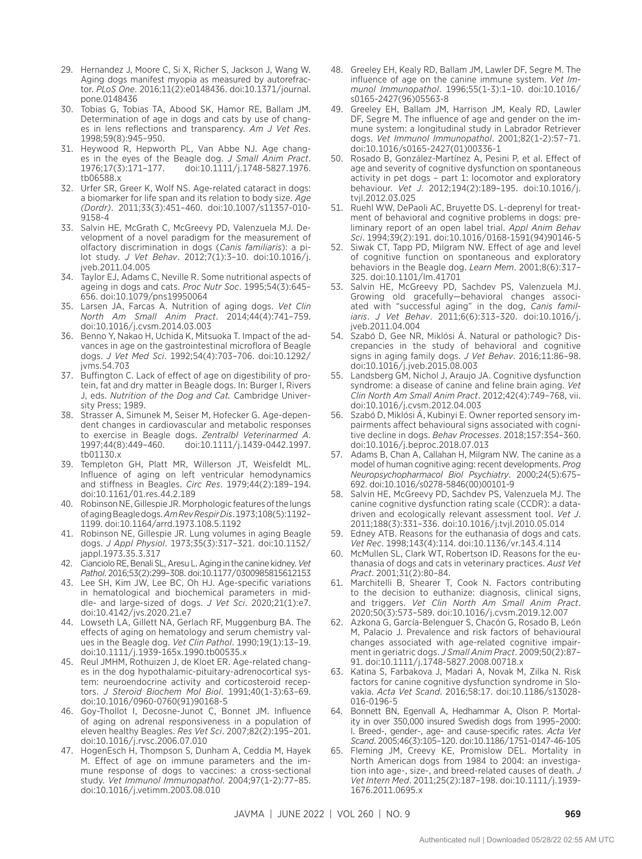- 29. Hernandez J, Moore C, Si X, Richer S, Jackson J, Wang W. Aging dogs manifest myopia as measured by autorefractor. *PLoS One*. 2016;11(2):e0148436. doi:10.1371/journal. pone.0148436
- 30. Tobias G, Tobias TA, Abood SK, Hamor RE, Ballam JM. Determination of age in dogs and cats by use of changes in lens reflections and transparency. *Am J Vet Res*. 1998;59(8):945–950.
- 31. Heywood R, Hepworth PL, Van Abbe NJ. Age changes in the eyes of the Beagle dog. *J Small Anim Pract*. 1976;17(3):171–177. doi:10.1111/j.1748-5827.1976. tb06588.x
- 32. Urfer SR, Greer K, Wolf NS. Age-related cataract in dogs: a biomarker for life span and its relation to body size. *Age (Dordr)*. 2011;33(3):451–460. doi:10.1007/s11357-010- 9158-4
- 33. Salvin HE, McGrath C, McGreevy PD, Valenzuela MJ. Development of a novel paradigm for the measurement of olfactory discrimination in dogs (*Canis familiaris*): a pilot study. *J Vet Behav*. 2012;7(1):3–10. doi:10.1016/j. jveb.2011.04.005
- 34. Taylor EJ, Adams C, Neville R. Some nutritional aspects of ageing in dogs and cats. *Proc Nutr Soc*. 1995;54(3):645– 656. doi:10.1079/pns19950064
- 35. Larsen JA, Farcas A. Nutrition of aging dogs. *Vet Clin North Am Small Anim Pract*. 2014;44(4):741–759. doi:10.1016/j.cvsm.2014.03.003
- 36. Benno Y, Nakao H, Uchida K, Mitsuoka T. Impact of the advances in age on the gastrointestinal microflora of Beagle dogs. *J Vet Med Sci*. 1992;54(4):703–706. doi:10.1292/ jvms.54.703
- 37. Buffington C. Lack of effect of age on digestibility of protein, fat and dry matter in Beagle dogs. In: Burger I, Rivers J, eds. *Nutrition of the Dog and Cat.* Cambridge University Press; 1989.
- 38. Strasser A, Simunek M, Seiser M, Hofecker G. Age-dependent changes in cardiovascular and metabolic responses to exercise in Beagle dogs. *Zentralbl Veterinarmed A*. 1997;44(8):449–460. doi:10.1111/j.1439-0442.1997. tb01130.x
- 39. Templeton GH, Platt MR, Willerson JT, Weisfeldt ML. Influence of aging on left ventricular hemodynamics and stiffness in Beagles. *Circ Res*. 1979;44(2):189–194. doi:10.1161/01.res.44.2.189
- 40. Robinson NE, Gillespie JR. Morphologic features of the lungs of aging Beagle dogs. *Am Rev Respir Dis*. 1973;108(5):1192– 1199. doi:10.1164/arrd.1973.108.5.1192
- 41. Robinson NE, Gillespie JR. Lung volumes in aging Beagle dogs. *J Appl Physiol*. 1973;35(3):317–321. doi:10.1152/ jappl.1973.35.3.317
- 42. Cianciolo RE, Benali SL, Aresu L. Aging in the canine kidney. *Vet Pathol*. 2016;53(2):299–308. doi:10.1177/0300985815612153
- 43. Lee SH, Kim JW, Lee BC, Oh HJ. Age-specific variations in hematological and biochemical parameters in middle- and large-sized of dogs. *J Vet Sci*. 2020;21(1):e7. doi:10.4142/jvs.2020.21.e7
- 44. Lowseth LA, Gillett NA, Gerlach RF, Muggenburg BA. The effects of aging on hematology and serum chemistry values in the Beagle dog. *Vet Clin Pathol*. 1990;19(1):13–19. doi:10.1111/j.1939-165x.1990.tb00535.x
- 45. Reul JMHM, Rothuizen J, de Kloet ER. Age-related changes in the dog hypothalamic-pituitary-adrenocortical system: neuroendocrine activity and corticosteroid receptors. *J Steroid Biochem Mol Biol*. 1991;40(1-3):63–69. doi:10.1016/0960-0760(91)90168-5
- 46. Goy-Thollot I, Decosne-Junot C, Bonnet JM. Influence of aging on adrenal responsiveness in a population of eleven healthy Beagles. *Res Vet Sci*. 2007;82(2):195–201. doi:10.1016/j.rvsc.2006.07.010
- 47. HogenEsch H, Thompson S, Dunham A, Ceddia M, Hayek M. Effect of age on immune parameters and the immune response of dogs to vaccines: a cross-sectional study. *Vet Immunol Immunopathol*. 2004;97(1-2):77–85. doi:10.1016/j.vetimm.2003.08.010
- 48. Greeley EH, Kealy RD, Ballam JM, Lawler DF, Segre M. The influence of age on the canine immune system. *Vet Immunol Immunopathol*. 1996;55(1-3):1–10. doi:10.1016/ s0165-2427(96)05563-8
- 49. Greeley EH, Ballam JM, Harrison JM, Kealy RD, Lawler DF, Segre M. The influence of age and gender on the immune system: a longitudinal study in Labrador Retriever dogs. *Vet Immunol Immunopathol*. 2001;82(1-2):57–71. doi:10.1016/s0165-2427(01)00336-1
- 50. Rosado B, González-Martínez A, Pesini P, et al. Effect of age and severity of cognitive dysfunction on spontaneous activity in pet dogs – part 1: locomotor and exploratory behaviour. *Vet J*. 2012;194(2):189–195. doi:10.1016/j. tvjl.2012.03.025
- 51. Ruehl WW, DePaoli AC, Bruyette DS. L-deprenyl for treatment of behavioral and cognitive problems in dogs: preliminary report of an open label trial. *Appl Anim Behav Sci*. 1994;39(2):191. doi:10.1016/0168-1591(94)90146-5
- 52. Siwak CT, Tapp PD, Milgram NW. Effect of age and level of cognitive function on spontaneous and exploratory behaviors in the Beagle dog. *Learn Mem*. 2001;8(6):317– 325. doi:10.1101/lm.41701
- 53. Salvin HE, McGreevy PD, Sachdev PS, Valenzuela MJ. Growing old gracefully—behavioral changes associated with "successful aging" in the dog, *Canis familiaris*. *J Vet Behav*. 2011;6(6):313–320. doi:10.1016/j. jveb.2011.04.004
- 54. Szabó D, Gee NR, Miklósi Á. Natural or pathologic? Discrepancies in the study of behavioral and cognitive signs in aging family dogs. *J Vet Behav*. 2016;11:86–98. doi:10.1016/j.jveb.2015.08.003
- 55. Landsberg GM, Nichol J, Araujo JA. Cognitive dysfunction syndrome: a disease of canine and feline brain aging. *Vet Clin North Am Small Anim Pract*. 2012;42(4):749–768, vii. doi:10.1016/j.cvsm.2012.04.003
- 56. Szabó D, Miklósi Á, Kubinyi E. Owner reported sensory impairments affect behavioural signs associated with cognitive decline in dogs. *Behav Processes*. 2018;157:354–360. doi:10.1016/j.beproc.2018.07.013
- 57. Adams B, Chan A, Callahan H, Milgram NW. The canine as a model of human cognitive aging: recent developments. *Prog Neuropsychopharmacol Biol Psychiatry*. 2000;24(5):675– 692. doi:10.1016/s0278-5846(00)00101-9
- 58. Salvin HE, McGreevy PD, Sachdev PS, Valenzuela MJ. The canine cognitive dysfunction rating scale (CCDR): a datadriven and ecologically relevant assessment tool. *Vet J*. 2011;188(3):331–336. doi:10.1016/j.tvjl.2010.05.014
- 59. Edney ATB. Reasons for the euthanasia of dogs and cats. *Vet Rec*. 1998;143(4):114. doi:10.1136/vr.143.4.114
- 60. McMullen SL, Clark WT, Robertson ID. Reasons for the euthanasia of dogs and cats in veterinary practices. *Aust Vet Pract*. 2001;31(2):80–84.
- 61. Marchitelli B, Shearer T, Cook N. Factors contributing to the decision to euthanize: diagnosis, clinical signs, and triggers. *Vet Clin North Am Small Anim Pract*. 2020;50(3):573–589. doi:10.1016/j.cvsm.2019.12.007
- 62. Azkona G, García-Belenguer S, Chacón G, Rosado B, León M, Palacio J. Prevalence and risk factors of behavioural changes associated with age-related cognitive impairment in geriatric dogs. *J Small Anim Pract*. 2009;50(2):87– 91. doi:10.1111/j.1748-5827.2008.00718.x
- 63. Katina S, Farbakova J, Madari A, Novak M, Zilka N. Risk factors for canine cognitive dysfunction syndrome in Slovakia. *Acta Vet Scand*. 2016;58:17. doi:10.1186/s13028- 016-0196-5
- 64. Bonnett BN, Egenvall A, Hedhammar A, Olson P. Mortality in over 350,000 insured Swedish dogs from 1995–2000: I. Breed-, gender-, age- and cause-specific rates. *Acta Vet Scand*. 2005;46(3):105–120. doi:10.1186/1751-0147-46-105
- 65. Fleming JM, Creevy KE, Promislow DEL. Mortality in North American dogs from 1984 to 2004: an investigation into age-, size-, and breed-related causes of death. *J Vet Intern Med*. 2011;25(2):187–198. doi:10.1111/j.1939- 1676.2011.0695.x